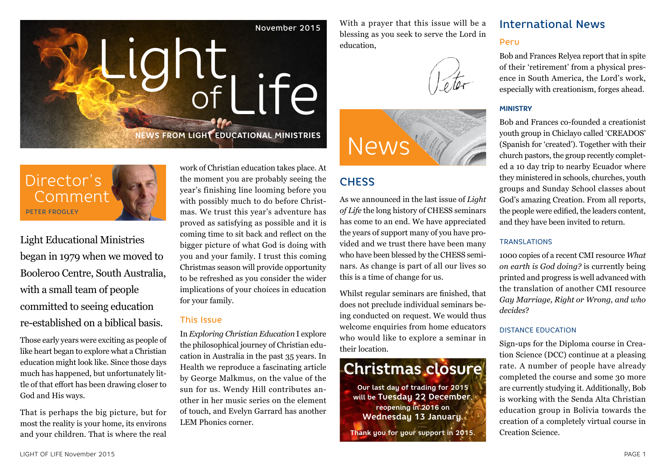

With a prayer that this issue will be a blessing as you seek to serve the Lord in education,





# **CHESS**

As we announced in the last issue of *Light of Life* the long history of CHESS seminars has come to an end. We have appreciated the years of support many of you have provided and we trust there have been many who have been blessed by the CHESS seminars. As change is part of all our lives so this is a time of change for us.

Whilst regular seminars are finished, that does not preclude individual seminars being conducted on request. We would thus welcome enquiries from home educators who would like to explore a seminar in their location.

# **Christmas closure**

**Our last day of trading for 2015 will be Tuesday 22 December, reopening in 2016 on Wednesday 13 January.**

**Thank you for your support in 2015.**

# International News Peru

Bob and Frances Relyea report that in spite of their 'retirement' from a physical presence in South America, the Lord's work, especially with creationism, forges ahead.

#### **MINISTRY**

Bob and Frances co-founded a creationist youth group in Chiclayo called 'CREADOS' (Spanish for 'created'). Together with their church pastors, the group recently completed a 10 day trip to nearby Ecuador where they ministered in schools, churches, youth groups and Sunday School classes about God's amazing Creation. From all reports, the people were edified, the leaders content, and they have been invited to return.

#### TRANSLATIONS

1000 copies of a recent CMI resource *What on earth is God doing?* is currently being printed and progress is well advanced with the translation of another CMI resource *Gay Marriage, Right or Wrong, and who decides*?

#### DISTANCE EDUCATION

Sign-ups for the Diploma course in Creation Science (DCC) continue at a pleasing rate. A number of people have already completed the course and some 30 more are currently studying it. Additionally, Bob is working with the Senda Alta Christian education group in Bolivia towards the creation of a completely virtual course in Creation Science.

# Director's Comment PETER FROGLEY

Light Educational Ministries began in 1979 when we moved to Booleroo Centre, South Australia, with a small team of people committed to seeing education re-established on a biblical basis.

Those early years were exciting as people of like heart began to explore what a Christian education might look like. Since those days much has happened, but unfortunately little of that effort has been drawing closer to God and His ways.

That is perhaps the big picture, but for most the reality is your home, its environs and your children. That is where the real work of Christian education takes place. At the moment you are probably seeing the year's finishing line looming before you with possibly much to do before Christmas. We trust this year's adventure has proved as satisfying as possible and it is coming time to sit back and reflect on the bigger picture of what God is doing with you and your family. I trust this coming Christmas season will provide opportunity to be refreshed as you consider the wider implications of your choices in education for your family.

#### This Issue

In *Exploring Christian Education* I explore the philosophical journey of Christian education in Australia in the past 35 years. In Health we reproduce a fascinating article by George Malkmus, on the value of the sun for us. Wendy Hill contributes another in her music series on the element of touch, and Evelyn Garrard has another LEM Phonics corner.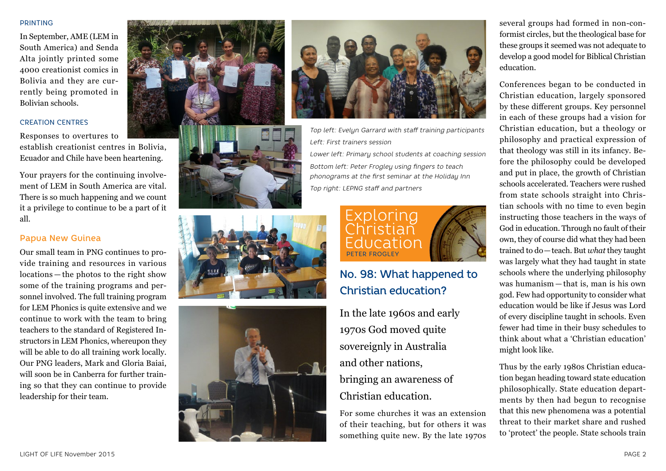#### PRINTING

In September, AME (LEM in South America) and Senda Alta jointly printed some 4000 creationist comics in Bolivia and they are cur rently being promoted in Bolivian schools.

#### CREATION CENTRES

Responses to overtures to establish creationist centres in Bolivia, Ecuador and Chile have been heartening.

Your prayers for the continuing involve ment of LEM in South America are vital. There is so much happening and we count it a privilege to continue to be a part of it all.

#### Papua New Guinea

Our small team in PNG continues to pro vide training and resources in various locations — the photos to the right show some of the training programs and per sonnel involved. The full training program for LEM Phonics is quite extensive and we continue to work with the team to bring teachers to the standard of Registered In structors in LEM Phonics, whereupon they will be able to do all training work locally. Our PNG leaders, Mark and Gloria Baiai, will soon be in Canberra for further train ing so that they can continue to provide leadership for their team.











*Top left: Evelyn Garrard with staff training participants Left: First trainers session*

*Lower left: Primary school students at coaching session Bottom left: Peter Frogley using fingers to teach phonograms at the first seminar at the Holiday Inn Top right: LEPNG staff and partners*



# No. 98: What happened to Christian education?

In the late 1960s and early 1970s God moved quite sovereignly in Australia and other nations, bringing an awareness of Christian education.

For some churches it was an extension of their teaching, but for others it was something quite new. By the late 1970s

several groups had formed in non-con formist circles, but the theological base for these groups it seemed was not adequate to develop a good model for Biblical Christian education.

Conferences began to be conducted in Christian education, largely sponsored by these different groups. Key personnel in each of these groups had a vision for Christian education, but a theology or philosophy and practical expression of that theology was still in its infancy. Be fore the philosophy could be developed and put in place, the growth of Christian schools accelerated. Teachers were rushed from state schools straight into Chris tian schools with no time to even begin instructing those teachers in the ways of God in education. Through no fault of their own, they of course did what they had been trained to do —teach. But *what* they taught was largely what they had taught in state schools where the underlying philosophy was humanism — that is, man is his own god. Few had opportunity to consider what education would be like if Jesus was Lord of every discipline taught in schools. Even fewer had time in their busy schedules to think about what a 'Christian education' might look like.

Thus by the early 1980s Christian educa tion began heading toward state education philosophically. State education depart ments by then had begun to recognise that this new phenomena was a potential threat to their market share and rushed to 'protect' the people. State schools train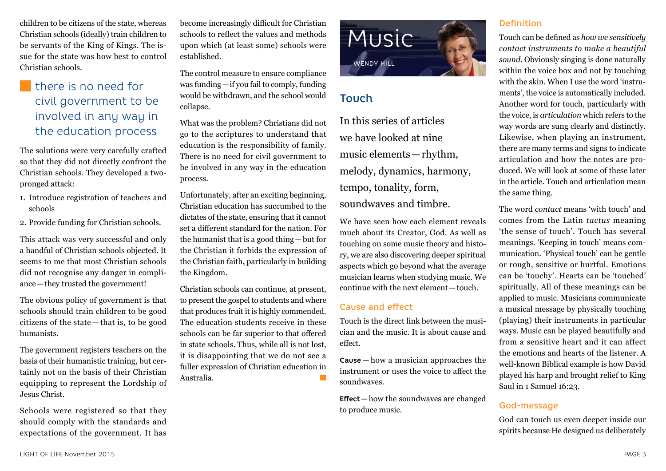children to be citizens of the state, whereas Christian schools (ideally) train children to be servants of the King of Kings. The issue for the state was how best to control Christian schools.

# **there** is no need for civil government to be involved in any way in the education process

The solutions were very carefully crafted so that they did not directly confront the Christian schools. They developed a twopronged attack:

- 1. Introduce registration of teachers and schools
- 2. Provide funding for Christian schools.

This attack was very successful and only a handful of Christian schools objected. It seems to me that most Christian schools did not recognise any danger in compliance—they trusted the government!

The obvious policy of government is that schools should train children to be good citizens of the state — that is, to be good humanists.

The government registers teachers on the basis of their humanistic training, but certainly not on the basis of their Christian equipping to represent the Lordship of Jesus Christ.

Schools were registered so that they should comply with the standards and expectations of the government. It has

become increasingly difficult for Christian schools to reflect the values and methods upon which (at least some) schools were established.

The control measure to ensure compliance was funding—if you fail to comply, funding would be withdrawn, and the school would collapse.

What was the problem? Christians did not go to the scriptures to understand that education is the responsibility of family. There is no need for civil government to be involved in any way in the education process.

Unfortunately, after an exciting beginning, Christian education has succumbed to the dictates of the state, ensuring that it cannot set a different standard for the nation. For the humanist that is a good thing—but for the Christian it forbids the expression of the Christian faith, particularly in building the Kingdom.

Christian schools can continue, at present, to present the gospel to students and where that produces fruit it is highly commended. The education students receive in these schools can be far superior to that offered in state schools. Thus, while all is not lost, it is disappointing that we do not see a fuller expression of Christian education in Australia.



# Touch

In this series of articles we have looked at nine music elements—rhythm, melody, dynamics, harmony, tempo, tonality, form, soundwaves and timbre.

We have seen how each element reveals much about its Creator, God. As well as touching on some music theory and history, we are also discovering deeper spiritual aspects which go beyond what the average musician learns when studying music. We continue with the next element—touch.

#### Cause and effect

Touch is the direct link between the musician and the music. It is about cause and effect.

**Cause**— how a musician approaches the instrument or uses the voice to affect the soundwaves.

**Effect**—how the soundwaves are changed to produce music.

#### Definition

Touch can be defined as *how we sensitively contact instruments to make a beautiful sound*. Obviously singing is done naturally within the voice box and not by touching with the skin. When I use the word 'instruments', the voice is automatically included. Another word for touch, particularly with the voice, is *articulation* which refers to the way words are sung clearly and distinctly. Likewise, when playing an instrument, there are many terms and signs to indicate articulation and how the notes are produced. We will look at some of these later in the article. Touch and articulation mean the same thing.

The word *contact* means 'with touch' and comes from the Latin *tactus* meaning 'the sense of touch'. Touch has several meanings. 'Keeping in touch' means communication. 'Physical touch' can be gentle or rough, sensitive or hurtful. Emotions can be 'touchy'. Hearts can be 'touched' spiritually. All of these meanings can be applied to music. Musicians communicate a musical message by physically touching (playing) their instruments in particular ways. Music can be played beautifully and from a sensitive heart and it can affect the emotions and hearts of the listener. A well-known Biblical example is how David played his harp and brought relief to King Saul in 1 Samuel 16:23.

## God-message

God can touch us even deeper inside our spirits because He designed us deliberately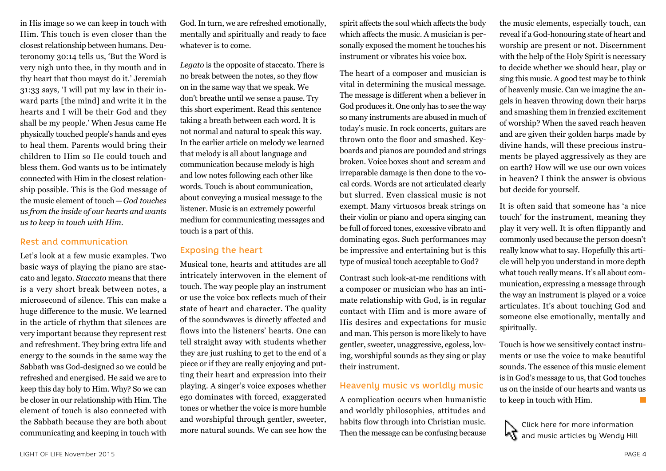in His image so we can keep in touch with Him. This touch is even closer than the closest relationship between humans. Deuteronomy 30:14 tells us, 'But the Word is very nigh unto thee, in thy mouth and in thy heart that thou mayst do it.' Jeremiah 31:33 says, 'I will put my law in their inward parts [the mind] and write it in the hearts and I will be their God and they shall be my people.' When Jesus came He physically touched people's hands and eyes to heal them. Parents would bring their children to Him so He could touch and bless them. God wants us to be intimately connected with Him in the closest relationship possible. This is the God message of the music element of touch—*God touches us from the inside of our hearts and wants us to keep in touch with Him*.

#### Rest and communication

Let's look at a few music examples. Two basic ways of playing the piano are staccato and legato. *Staccato* means that there is a very short break between notes, a microsecond of silence. This can make a huge difference to the music. We learned in the article of rhythm that silences are very important because they represent rest and refreshment. They bring extra life and energy to the sounds in the same way the Sabbath was God-designed so we could be refreshed and energised. He said we are to keep this day holy to Him. Why? So we can be closer in our relationship with Him. The element of touch is also connected with the Sabbath because they are both about communicating and keeping in touch with

God. In turn, we are refreshed emotionally, mentally and spiritually and ready to face whatever is to come.

*Legato* is the opposite of staccato. There is no break between the notes, so they flow on in the same way that we speak. We don't breathe until we sense a pause. Try this short experiment. Read this sentence taking a breath between each word. It is not normal and natural to speak this way. In the earlier article on melody we learned that melody is all about language and communication because melody is high and low notes following each other like words. Touch is about communication, about conveying a musical message to the listener. Music is an extremely powerful medium for communicating messages and touch is a part of this.

#### Exposing the heart

Musical tone, hearts and attitudes are all intricately interwoven in the element of touch. The way people play an instrument or use the voice box reflects much of their state of heart and character. The quality of the soundwaves is directly affected and flows into the listeners' hearts. One can tell straight away with students whether they are just rushing to get to the end of a piece or if they are really enjoying and putting their heart and expression into their playing. A singer's voice exposes whether ego dominates with forced, exaggerated tones or whether the voice is more humble and worshipful through gentler, sweeter, more natural sounds. We can see how the

spirit affects the soul which affects the body which affects the music. A musician is personally exposed the moment he touches his instrument or vibrates his voice box.

The heart of a composer and musician is vital in determining the musical message. The message is different when a believer in God produces it. One only has to see the way so many instruments are abused in much of today's music. In rock concerts, guitars are thrown onto the floor and smashed. Keyboards and pianos are pounded and strings broken. Voice boxes shout and scream and irreparable damage is then done to the vocal cords. Words are not articulated clearly but slurred. Even classical music is not exempt. Many virtuosos break strings on their violin or piano and opera singing can be full of forced tones, excessive vibrato and dominating egos. Such performances may be impressive and entertaining but is this type of musical touch acceptable to God?

Contrast such look-at-me renditions with a composer or musician who has an intimate relationship with God, is in regular contact with Him and is more aware of His desires and expectations for music and man. This person is more likely to have gentler, sweeter, unaggressive, egoless, loving, worshipful sounds as they sing or play their instrument.

#### Heavenly music vs worldly music

A complication occurs when humanistic and worldly philosophies, attitudes and habits flow through into Christian music. Then the message can be confusing because

the music elements, especially touch, can reveal if a God-honouring state of heart and worship are present or not. Discernment with the help of the Holy Spirit is necessary to decide whether we should hear, play or sing this music. A good test may be to think of heavenly music. Can we imagine the angels in heaven throwing down their harps and smashing them in frenzied excitement of worship? When the saved reach heaven and are given their golden harps made by divine hands, will these precious instruments be played aggressively as they are on earth? How will we use our own voices in heaven? I think the answer is obvious but decide for yourself.

It is often said that someone has 'a nice touch' for the instrument, meaning they play it very well. It is often flippantly and commonly used because the person doesn't really know what to say. Hopefully this article will help you understand in more depth what touch really means. It's all about communication, expressing a message through the way an instrument is played or a voice articulates. It's about touching God and someone else emotionally, mentally and spiritually.

Touch is how we sensitively contact instruments or use the voice to make beautiful sounds. The essence of this music element is in God's message to us, that God touches us on the inside of our hearts and wants us to keep in touch with Him.  $\Box$ 

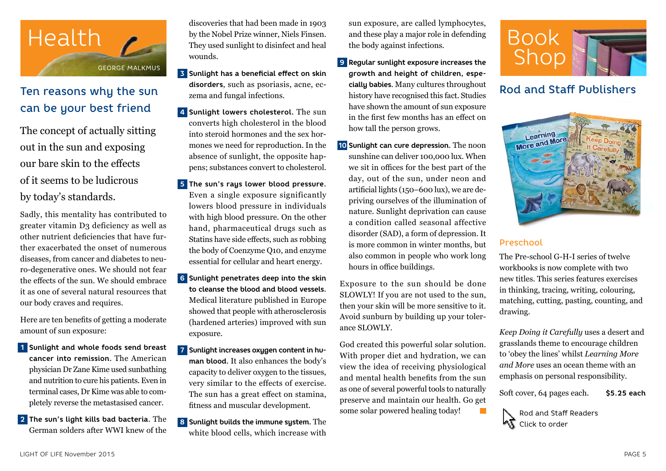

# Ten reasons why the sun can be your best friend

The concept of actually sitting out in the sun and exposing our bare skin to the effects of it seems to be ludicrous by today's standards.

Sadly, this mentality has contributed to greater vitamin D3 deficiency as well as other nutrient deficiencies that have further exacerbated the onset of numerous diseases, from cancer and diabetes to neuro-degenerative ones. We should not fear the effects of the sun. We should embrace it as one of several natural resources that our body craves and requires.

Here are ten benefits of getting a moderate amount of sun exposure:

- **1 Sunlight and whole foods send breast cancer into remission.** The American physician Dr Zane Kime used sunbathing and nutrition to cure his patients. Even in terminal cases, Dr Kime was able to completely reverse the metastasised cancer.
- **2 The sun's light kills bad bacteria.** The German solders after WWI knew of the

discoveries that had been made in 1903 by the Nobel Prize winner, Niels Finsen. They used sunlight to disinfect and heal wounds.

- **3 Sunlight has a beneficial effect on skin disorders**, such as psoriasis, acne, eczema and fungal infections.
- **4 Sunlight lowers cholesterol.** The sun converts high cholesterol in the blood into steroid hormones and the sex hormones we need for reproduction. In the absence of sunlight, the opposite happens; substances convert to cholesterol.
- **5 The sun's rays lower blood pressure.** Even a single exposure significantly lowers blood pressure in individuals with high blood pressure. On the other hand, pharmaceutical drugs such as Statins have side effects, such as robbing the body of Coenzyme Q10, and enzyme essential for cellular and heart energy.
- **6 Sunlight penetrates deep into the skin to cleanse the blood and blood vessels.**  Medical literature published in Europe showed that people with atherosclerosis (hardened arteries) improved with sun exposure.
- **7 Sunlight increases oxygen content in human blood.** It also enhances the body's capacity to deliver oxygen to the tissues, very similar to the effects of exercise. The sun has a great effect on stamina, fitness and muscular development.
- **8 Sunlight builds the immune sustem.** The white blood cells, which increase with

sun exposure, are called lymphocytes, and these play a major role in defending the body against infections.

- **9 Regular sunlight exposure increases the growth and height of children, especially babies.** Many cultures throughout history have recognised this fact. Studies have shown the amount of sun exposure in the first few months has an effect on how tall the person grows.
- **10 Sunlight can cure depression.** The noon sunshine can deliver 100,000 lux. When we sit in offices for the best part of the day, out of the sun, under neon and artificial lights (150–600 lux), we are depriving ourselves of the illumination of nature. Sunlight deprivation can cause a condition called seasonal affective disorder (SAD), a form of depression. It is more common in winter months, but also common in people who work long hours in office buildings.

Exposure to the sun should be done SLOWLY! If you are not used to the sun, then your skin will be more sensitive to it. Avoid sunburn by building up your tolerance SLOWLY.

God created this powerful solar solution. With proper diet and hydration, we can view the idea of receiving physiological and mental health benefits from the sun as one of several powerful tools to naturally preserve and maintain our health. Go get some solar powered healing today!



# Rod and Staff Publishers



#### Preschool

The Pre-school G-H-I series of twelve workbooks is now complete with two new titles. This series features exercises in thinking, tracing, writing, colouring, matching, cutting, pasting, counting, and drawing.

*Keep Doing it Carefully* uses a desert and grasslands theme to encourage children to 'obey the lines' whilst *Learning More and More* uses an ocean theme with an emphasis on personal responsibility.

Soft cover, 64 pages each. **\$5.25 each**

Rod and Staff Readers **KT** Click to order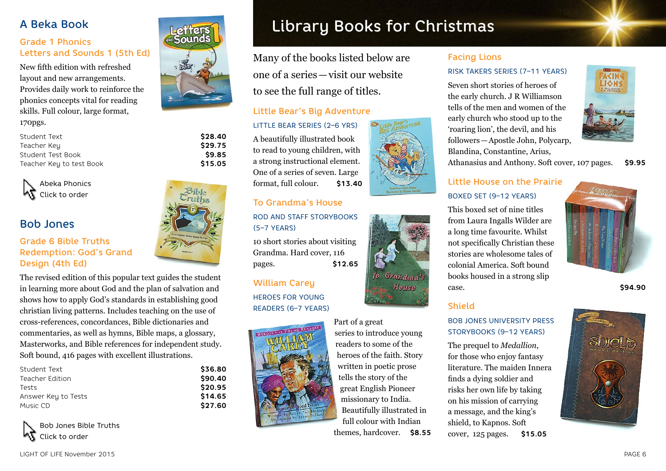## A Beka Book

## Grade 1 Phonics Letters and Sounds 1 (5th Ed)

New fifth edition with refreshed layout and new arrangements. Provides daily work to reinforce the phonics concepts vital for reading skills. Full colour, large format,

170pgs.

| Student Text             | \$28.40 |
|--------------------------|---------|
| Teacher Key              | \$29.75 |
| Student Test Book        | \$9.85  |
| Teacher Key to test Book | \$15.05 |



# Bob Jones

#### Grade 6 Bible Truths Redemption: God's Grand Design (4th Ed)

The revised edition of this popular text guides the student in learning more about God and the plan of salvation and shows how to apply God's standards in establishing good christian living patterns. Includes teaching on the use of cross-references, concordances, Bible dictionaries and commentaries, as well as hymns, Bible maps, a glossary, Masterworks, and Bible references for independent study. Soft bound, 416 pages with excellent illustrations.

| Student Text        | \$36.80 |
|---------------------|---------|
| Teacher Edition     | \$90.40 |
| Tests               | \$20.95 |
| Answer Key to Tests | \$14.65 |
| Music CD            | \$27.60 |





# Library Books for Christmas

Many of the books listed below are one of a series—visit our website to see the full range of titles.

LITTLE BEAR SERIES (2–6 YRS)

A beautifully illustrated book to read to young children, with a strong instructional element. One of a series of seven. Large format, full colour. **\$13.40**

### To Grandma's House ROD AND STAFF STORYBOOKS (5–7 YEARS)

10 short stories about visiting Grandma. Hard cover, 116 pages. **\$12.65**

#### William Carey

HEROES FOR YOUNG READERS (6–7 YEARS)



## Little Bear's Big Adventure



Grandma's House

# Facing Lions

#### RISK TAKERS SERIES (7–11 YEARS)

Seven short stories of heroes of the early church. J R Williamson tells of the men and women of the early church who stood up to the 'roaring lion', the devil, and his followers—Apostle John, Polycarp, Blandina, Constantine, Arius,



Athanasius and Anthony. Soft cover, 107 pages. **\$9.95**

## Little House on the Prairie BOXED SET (9–12 YEARS)

This boxed set of nine titles from Laura Ingalls Wilder are a long time favourite. Whilst not specifically Christian these stories are wholesome tales of colonial America. Soft bound books housed in a strong slip case. **\$94.90** 

## Shield

#### BOB JONES UNIVERSITY PRESS STORYBOOKS (9–12 YEARS)

The prequel to *Medallion*, for those who enjoy fantasy literature. The maiden Innera finds a dying soldier and risks her own life by taking on his mission of carrying a message, and the king's shield, to Kapnos. Soft cover, 125 pages. **\$15.05**

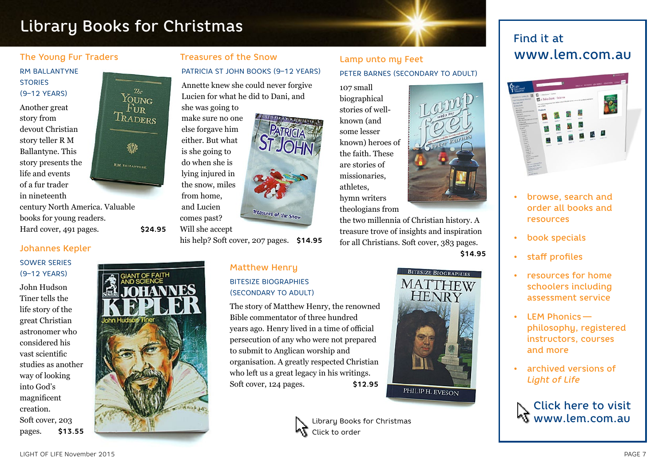# Library Books for Christmas Find it at The South of The South of The South of The South of The South of The South of The South of The South of The South of The South of The South of The South of The South of The South of T

#### The Young Fur Traders

#### RM BALLANTYNE **STORIES** (9–12 YEARS)

Another great story from devout Christian story teller R M Ballantyne. This story presents the life and events of a fur trader in nineteenth



century North America. Valuable books for young readers. Hard cover, 491 pages. **\$24.95**

#### Johannes Kepler

#### SOWER SERIES (9–12 YEARS)

John Hudson Tiner tells the life story of the great Christian astronomer who considered his vast scientific studies as another way of looking into God's magnificent creation. Soft cover, 203 pages. **\$13.55**



Treasures of the Snow PATRICIA ST JOHN BOOKS (9–12 YEARS)

Annette knew she could never forgive Lucien for what he did to Dani, and she was going to

**RELESSICS FOR LINEW OFFICE LITON 15** make sure no one else forgave him either. But what is she going to do when she is lying injured in the snow, miles from home, and Lucien Treasures of the Snow comes past?

Will she accept

his help? Soft cover, 207 pages. **\$14.95**

#### Matthew Henry BITESIZE BIOGRAPHIES (SECONDARY TO ADULT)

The story of Matthew Henry, the renowned Bible commentator of three hundred years ago. Henry lived in a time of official persecution of any who were not prepared to submit to Anglican worship and organisation. A greatly respected Christian who left us a great legacy in his writings. Soft cover, 124 pages. **\$12.95**

## Lamp unto my Feet PETER BARNES (SECONDARY TO ADULT)

107 small biographical stories of wellknown (and some lesser known) heroes of the faith. These are stories of missionaries, athletes, hymn writers



theologians from

the two millennia of Christian history. A treasure trove of insights and inspiration for all Christians. Soft cover, 383 pages. **\$14.95**



# www.lem.com.au



- browse, search and order all books and resources
- book specials
- staff profiles
- resources for home schoolers including assessment service
- LEM Phonics  philosophy, registered instructors, courses and more
- archived versions of *Light of Life*

Click here to visit www.lem.com.au



Library Books for Christmas Click to order